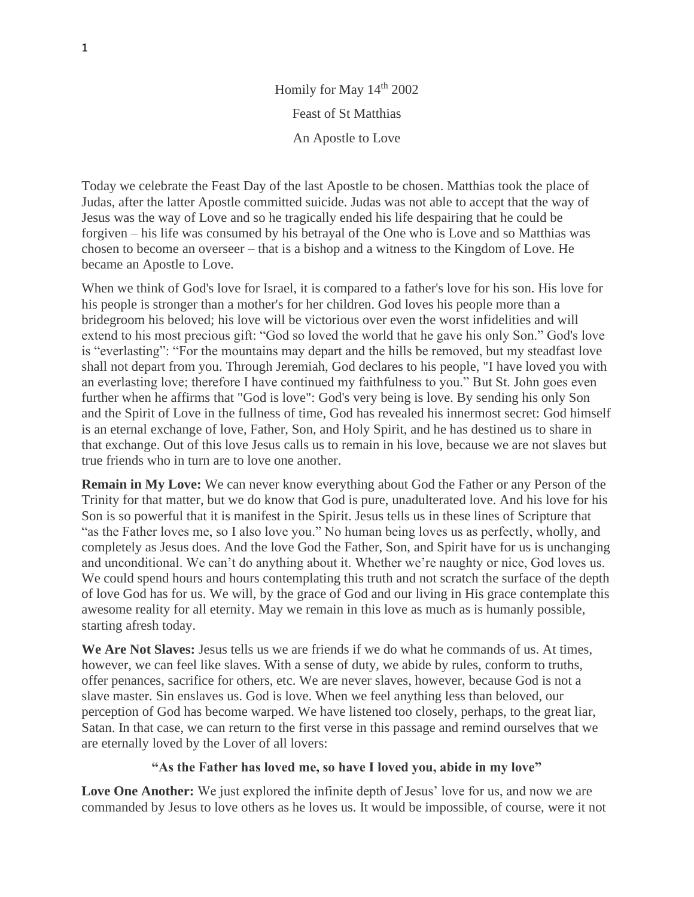Homily for May  $14<sup>th</sup>$  2002 Feast of St Matthias An Apostle to Love

Today we celebrate the Feast Day of the last Apostle to be chosen. Matthias took the place of Judas, after the latter Apostle committed suicide. Judas was not able to accept that the way of Jesus was the way of Love and so he tragically ended his life despairing that he could be forgiven – his life was consumed by his betrayal of the One who is Love and so Matthias was chosen to become an overseer – that is a bishop and a witness to the Kingdom of Love. He became an Apostle to Love.

When we think of God's love for Israel, it is compared to a father's love for his son. His love for his people is stronger than a mother's for her children. God loves his people more than a bridegroom his beloved; his love will be victorious over even the worst infidelities and will extend to his most precious gift: "God so loved the world that he gave his only Son." God's love is "everlasting": "For the mountains may depart and the hills be removed, but my steadfast love shall not depart from you. Through Jeremiah, God declares to his people, "I have loved you with an everlasting love; therefore I have continued my faithfulness to you." But St. John goes even further when he affirms that "God is love": God's very being is love. By sending his only Son and the Spirit of Love in the fullness of time, God has revealed his innermost secret: God himself is an eternal exchange of love, Father, Son, and Holy Spirit, and he has destined us to share in that exchange. Out of this love Jesus calls us to remain in his love, because we are not slaves but true friends who in turn are to love one another.

**Remain in My Love:** We can never know everything about God the Father or any Person of the Trinity for that matter, but we do know that God is pure, unadulterated love. And his love for his Son is so powerful that it is manifest in the Spirit. Jesus tells us in these lines of Scripture that "as the Father loves me, so I also love you." No human being loves us as perfectly, wholly, and completely as Jesus does. And the love God the Father, Son, and Spirit have for us is unchanging and unconditional. We can't do anything about it. Whether we're naughty or nice, God loves us. We could spend hours and hours contemplating this truth and not scratch the surface of the depth of love God has for us. We will, by the grace of God and our living in His grace contemplate this awesome reality for all eternity. May we remain in this love as much as is humanly possible, starting afresh today.

**We Are Not Slaves:** Jesus tells us we are friends if we do what he commands of us. At times, however, we can feel like slaves. With a sense of duty, we abide by rules, conform to truths, offer penances, sacrifice for others, etc. We are never slaves, however, because God is not a slave master. Sin enslaves us. God is love. When we feel anything less than beloved, our perception of God has become warped. We have listened too closely, perhaps, to the great liar, Satan. In that case, we can return to the first verse in this passage and remind ourselves that we are eternally loved by the Lover of all lovers:

## **"As the Father has loved me, so have I loved you, abide in my love"**

Love One Another: We just explored the infinite depth of Jesus' love for us, and now we are commanded by Jesus to love others as he loves us. It would be impossible, of course, were it not